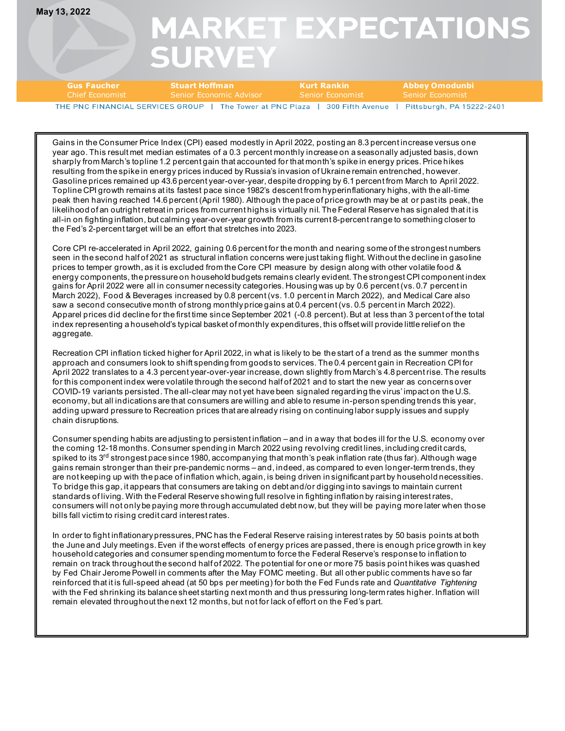**May 13, 2022**

## **MARKET EXPECTATIONS SURVEY**

| <b>Gus Faucher</b>               | <b>Stuart Hoffman</b>       | – Kurt Rankin    | Abbev Omodunbi          |
|----------------------------------|-----------------------------|------------------|-------------------------|
| <b>Chief Economist</b>           | r Senior Economic Advisor 1 | Senior Economist | <b>Senior Economist</b> |
| THE PNC FINANCIAL SERVICES GROUP |                             |                  |                         |

Gains in the Consumer Price Index (CPI) eased modestly in April 2022, posting an 8.3 percent increase versus one year ago. This result met median estimates of a 0.3 percent monthly increase on a seasonally adjusted basis, down sharply from March's topline 1.2 percent gain that accounted for that month's spike in energy prices. Price hikes resulting from the spike in energy prices induced by Russia's invasion of Ukraine remain entrenched, however. Gasoline prices remained up 43.6 percent year-over-year, despite dropping by 6.1 percent from March to April 2022. Topline CPI growth remains at its fastest pace since 1982's descent from hyperinflationary highs, with the all-time peak then having reached 14.6 percent (April 1980). Although the pace of price growth may be at or past its peak, the likelihood of an outright retreat in prices from current highs is virtually nil. The Federal Reserve has signaled that it is all-in on fighting inflation, but calming year-over-year growth from its current 8-percent range to something closer to the Fed's 2-percent target will be an effort that stretches into 2023.

Core CPI re-accelerated in April 2022, gaining 0.6 percent for the month and nearing some of the strongest numbers seen in the second half of 2021 as structural inflation concerns were just taking flight. Without the decline in gasoline prices to temper growth, as it is excluded from the Core CPI measure by design along with other volatile food & energy components, the pressure on household budgets remains clearly evident. The strongest CPI component index gains for April 2022 were all in consumer necessity categories. Housing was up by 0.6 percent (vs. 0.7 percent in March 2022), Food & Beverages increased by 0.8 percent (vs. 1.0 percent in March 2022), and Medical Care also saw a second consecutive month of strong monthly price gains at 0.4 percent (vs. 0.5 percent in March 2022). Apparel prices did decline for the first time since September 2021 (-0.8 percent). But at less than 3 percent of the total index representing a household's typical basket of monthly expenditures, this offset will provide little relief on the aggregate.

Recreation CPI inflation ticked higher for April 2022, in what is likely to be the start of a trend as the summer months approach and consumers look to shift spending from goods to services. The 0.4 percent gain in Recreation CPI for April 2022 translates to a 4.3 percent year-over-year increase, down slightly from March's 4.8 percent rise. The results for this component index were volatile through the second half of 2021 and to start the new year as concerns over COVID-19 variants persisted. The all-clear may not yet have been signaled regarding the virus' impact on the U.S. economy, but all indications are that consumers are willing and able to resume in-person spending trends this year, adding upward pressure to Recreation prices that are already rising on continuing labor supply issues and supply chain disruptions.

Consumer spending habits are adjusting to persistent inflation – and in a way that bodes ill for the U.S. economy over the coming 12-18 months. Consumer spending in March 2022 using revolving credit lines, including credit cards, spiked to its 3<sup>rd</sup> strongest pace since 1980, accompanying that month's peak inflation rate (thus far). Although wage gains remain stronger than their pre-pandemic norms – and, indeed, as compared to even longer-term trends, they are not keeping up with the pace of inflation which, again, is being driven in significant part by household necessities. To bridge this gap, it appears that consumers are taking on debt and/or digging into savings to maintain current standards of living. With the Federal Reserve showing full resolve in fighting inflation by raising interest rates, consumers will not only be paying more through accumulated debt now, but they will be paying more later when those bills fall victim to rising credit card interest rates.

In order to fight inflationary pressures, PNC has the Federal Reserve raising interest rates by 50 basis points at both the June and July meetings. Even if the worst effects of energy prices are passed, there is enough price growth in key household categories and consumer spending momentum to force the Federal Reserve's response to inflation to remain on track throughout the second half of 2022. The potential for one or more 75 basis point hikes was quashed by Fed Chair Jerome Powell in comments after the May FOMC meeting. But all other public comments have so far reinforced that it is full-speed ahead (at 50 bps per meeting) for both the Fed Funds rate and *Quantitative Tightening* with the Fed shrinking its balance sheet starting next month and thus pressuring long-term rates higher. Inflation will remain elevated throughout the next 12 months, but not for lack of effort on the Fed's part.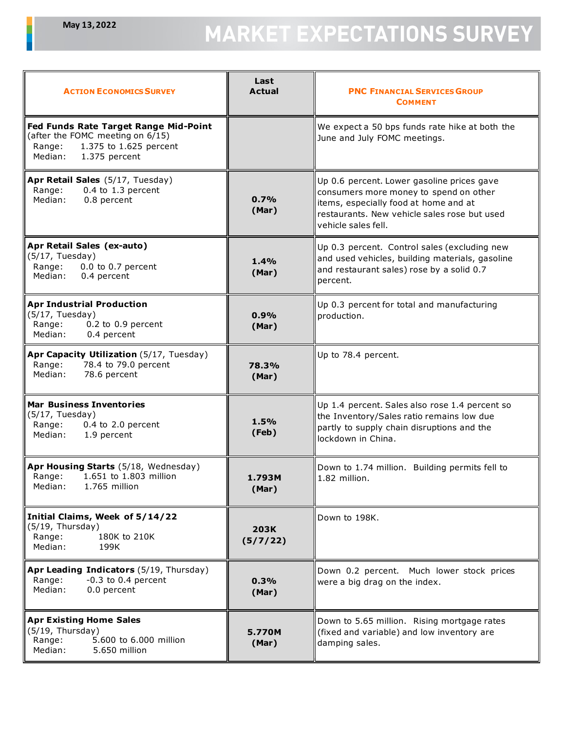## MARKET EXPECTATIONS SURVEY

| <b>ACTION ECONOMICS SURVEY</b>                                                                                                            | Last<br><b>Actual</b>   | <b>PNC FINANCIAL SERVICES GROUP</b><br><b>COMMENT</b>                                                                                                                                                |  |
|-------------------------------------------------------------------------------------------------------------------------------------------|-------------------------|------------------------------------------------------------------------------------------------------------------------------------------------------------------------------------------------------|--|
| Fed Funds Rate Target Range Mid-Point<br>(after the FOMC meeting on 6/15)<br>1.375 to 1.625 percent<br>Range:<br>1.375 percent<br>Median: |                         | We expect a 50 bps funds rate hike at both the<br>June and July FOMC meetings.                                                                                                                       |  |
| Apr Retail Sales (5/17, Tuesday)<br>Range:<br>$0.4$ to 1.3 percent<br>0.8 percent<br>Median:                                              | 0.7%<br>(Mar)           | Up 0.6 percent. Lower gasoline prices gave<br>consumers more money to spend on other<br>items, especially food at home and at<br>restaurants. New vehicle sales rose but used<br>vehicle sales fell. |  |
| Apr Retail Sales (ex-auto)<br>$(5/17,$ Tuesday)<br>0.0 to 0.7 percent<br>Range:<br>Median:<br>0.4 percent                                 | 1.4%<br>(Mar)           | Up 0.3 percent. Control sales (excluding new<br>and used vehicles, building materials, gasoline<br>and restaurant sales) rose by a solid 0.7<br>percent.                                             |  |
| <b>Apr Industrial Production</b><br>$(5/17,$ Tuesday)<br>0.2 to 0.9 percent<br>Range:<br>Median:<br>0.4 percent                           | 0.9%<br>(Mar)           | Up 0.3 percent for total and manufacturing<br>production.                                                                                                                                            |  |
| Apr Capacity Utilization (5/17, Tuesday)<br>78.4 to 79.0 percent<br>Range:<br>Median:<br>78.6 percent                                     | 78.3%<br>(Mar)          | Up to 78.4 percent.                                                                                                                                                                                  |  |
| <b>Mar Business Inventories</b><br>(5/17, Tuesday)<br>Range:<br>0.4 to 2.0 percent<br>Median:<br>1.9 percent                              | 1.5%<br>(Feb)           | Up 1.4 percent. Sales also rose 1.4 percent so<br>the Inventory/Sales ratio remains low due<br>partly to supply chain disruptions and the<br>lockdown in China.                                      |  |
| Apr Housing Starts (5/18, Wednesday)<br>1.651 to 1.803 million<br>Range:<br>Median:<br>1.765 million                                      | 1.793M<br>(Mar)         | Down to 1.74 million. Building permits fell to<br>1.82 million.                                                                                                                                      |  |
| Initial Claims, Week of 5/14/22<br>(5/19, Thursday)<br>Range:<br>180K to 210K<br>Median:<br>199K                                          | <b>203K</b><br>(5/7/22) | Down to 198K.                                                                                                                                                                                        |  |
| Apr Leading Indicators (5/19, Thursday)<br>$-0.3$ to 0.4 percent<br>Range:<br>Median:<br>0.0 percent                                      | 0.3%<br>(Mar)           | Down 0.2 percent. Much lower stock prices<br>were a big drag on the index.                                                                                                                           |  |
| <b>Apr Existing Home Sales</b><br>(5/19, Thursday)<br>5.600 to 6.000 million<br>Range:<br>Median:<br>5.650 million                        | 5.770M<br>(Mar)         | Down to 5.65 million. Rising mortgage rates<br>(fixed and variable) and low inventory are<br>damping sales.                                                                                          |  |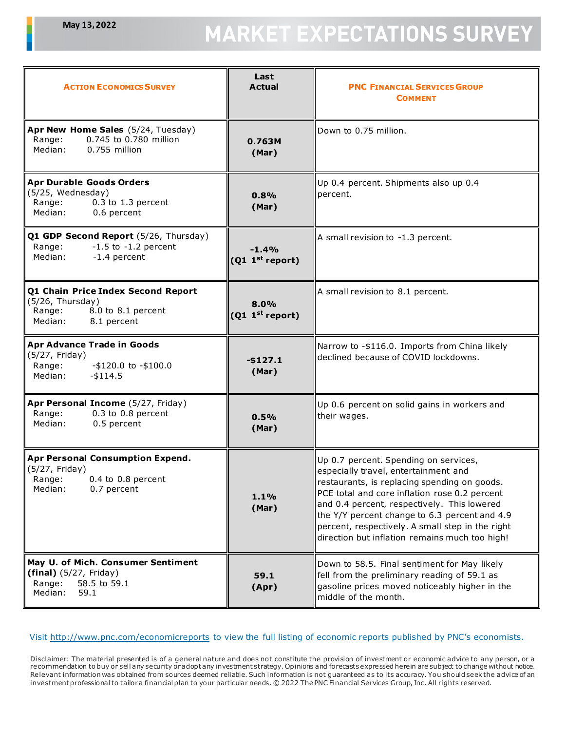## **MARKET EXPECTATIONS SURVEY**

| <b>ACTION ECONOMICS SURVEY</b>                                                                                   | Last<br><b>Actual</b>                  | <b>PNC FINANCIAL SERVICES GROUP</b><br><b>COMMENT</b>                                                                                                                                                                                                                                                                                                                                |  |
|------------------------------------------------------------------------------------------------------------------|----------------------------------------|--------------------------------------------------------------------------------------------------------------------------------------------------------------------------------------------------------------------------------------------------------------------------------------------------------------------------------------------------------------------------------------|--|
| Apr New Home Sales (5/24, Tuesday)<br>0.745 to 0.780 million<br>Range:<br>Median:<br>0.755 million               | 0.763M<br>(Mar)                        | Down to 0.75 million.                                                                                                                                                                                                                                                                                                                                                                |  |
| <b>Apr Durable Goods Orders</b><br>(5/25, Wednesday)<br>$0.3$ to 1.3 percent<br>Range:<br>0.6 percent<br>Median: | 0.8%<br>(Mar)                          | Up 0.4 percent. Shipments also up 0.4<br>percent.                                                                                                                                                                                                                                                                                                                                    |  |
| Q1 GDP Second Report (5/26, Thursday)<br>$-1.5$ to $-1.2$ percent<br>Range:<br>-1.4 percent<br>Median:           | $-1.4%$<br>(Q1 1 <sup>st</sup> report) | A small revision to -1.3 percent.                                                                                                                                                                                                                                                                                                                                                    |  |
| Q1 Chain Price Index Second Report<br>(5/26, Thursday)<br>8.0 to 8.1 percent<br>Range:<br>Median:<br>8.1 percent | 8.0%<br>(Q1 1 <sup>st</sup> report)    | A small revision to 8.1 percent.                                                                                                                                                                                                                                                                                                                                                     |  |
| Apr Advance Trade in Goods<br>(5/27, Friday)<br>Range:<br>$-$ \$120.0 to $-$ \$100.0<br>Median:<br>$-$ \$114.5   | $-$127.1$<br>(Mar)                     | Narrow to -\$116.0. Imports from China likely<br>declined because of COVID lockdowns.                                                                                                                                                                                                                                                                                                |  |
| Apr Personal Income (5/27, Friday)<br>0.3 to 0.8 percent<br>Range:<br>0.5 percent<br>Median:                     | 0.5%<br>(Mar)                          | Up 0.6 percent on solid gains in workers and<br>their wages.                                                                                                                                                                                                                                                                                                                         |  |
| Apr Personal Consumption Expend.<br>(5/27, Friday)<br>$0.4$ to $0.8$ percent<br>Range:<br>Median:<br>0.7 percent | 1.1%<br>(Mar)                          | Up 0.7 percent. Spending on services,<br>especially travel, entertainment and<br>restaurants, is replacing spending on goods.<br>PCE total and core inflation rose 0.2 percent<br>and 0.4 percent, respectively. This lowered<br>the Y/Y percent change to 6.3 percent and 4.9<br>percent, respectively. A small step in the right<br>direction but inflation remains much too high! |  |
| May U. of Mich. Consumer Sentiment<br>$(final)$ (5/27, Friday)<br>Range:<br>58.5 to 59.1<br>Median:<br>59.1      | 59.1<br>(Apr)                          | Down to 58.5. Final sentiment for May likely<br>fell from the preliminary reading of 59.1 as<br>gasoline prices moved noticeably higher in the<br>middle of the month.                                                                                                                                                                                                               |  |

## Visit<http://www.pnc.com/economicreports> to view the full listing of economic reports published by PNC's economists.

Disclaimer: The material presented is of a general nature and does not constitute the provision of investment or economic advice to any person, or a recommendation to buy or sell any security or adopt any investment strategy. Opinions and forecasts expressed herein are subject to change without notice. Relevant information was obtained from sources deemed reliable. Such information is not guaranteed as to its accuracy. You should seek the advice of an investment professional to tailora financial plan to your particular needs. © 2022 The PNC Financial Services Group, Inc. All rights reserved.